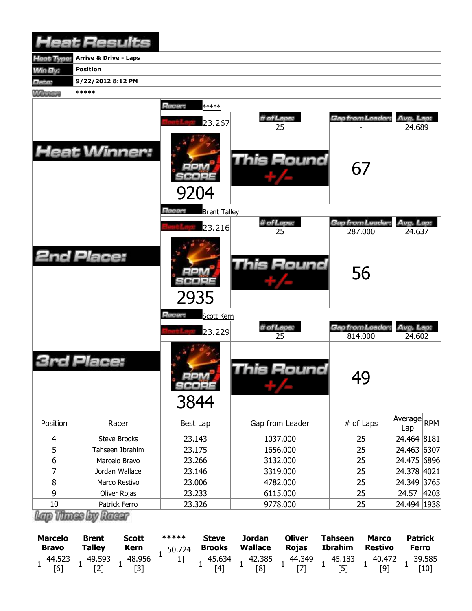|                                                      | <b>Heat Results</b>                                                                                                       |                                                                                   |                                                                                                                                |                                                                                                          |                                                                    |
|------------------------------------------------------|---------------------------------------------------------------------------------------------------------------------------|-----------------------------------------------------------------------------------|--------------------------------------------------------------------------------------------------------------------------------|----------------------------------------------------------------------------------------------------------|--------------------------------------------------------------------|
| leat Type:                                           | <b>Arrive &amp; Drive - Laps</b>                                                                                          |                                                                                   |                                                                                                                                |                                                                                                          |                                                                    |
| <b>Min By:</b>                                       | <b>Position</b>                                                                                                           |                                                                                   |                                                                                                                                |                                                                                                          |                                                                    |
| Date:                                                | 9/22/2012 8:12 PM                                                                                                         |                                                                                   |                                                                                                                                |                                                                                                          |                                                                    |
| <b>MARGARY</b>                                       | *****                                                                                                                     |                                                                                   |                                                                                                                                |                                                                                                          |                                                                    |
|                                                      |                                                                                                                           | Racer:<br>*****                                                                   |                                                                                                                                |                                                                                                          |                                                                    |
|                                                      |                                                                                                                           |                                                                                   | # of Laps:                                                                                                                     | Gap from Leader:                                                                                         | Avg. Lap:                                                          |
|                                                      |                                                                                                                           | 23.267                                                                            | 25                                                                                                                             |                                                                                                          | 24.689                                                             |
|                                                      | <b>Heat Winner:</b>                                                                                                       | 9204                                                                              | <b>This Round</b>                                                                                                              | 67                                                                                                       |                                                                    |
|                                                      |                                                                                                                           | Racer:<br><b>Brent Talley</b>                                                     |                                                                                                                                |                                                                                                          |                                                                    |
|                                                      |                                                                                                                           | 23.216                                                                            | # of Laps:<br>25                                                                                                               | Gap from Leader:<br>287.000                                                                              | Avg. Lap:<br>24.637                                                |
|                                                      | <b>2nd Place:</b>                                                                                                         | 2935                                                                              | <b>This Round</b>                                                                                                              | 56                                                                                                       |                                                                    |
|                                                      |                                                                                                                           | Racer:<br>Scott Kern                                                              |                                                                                                                                |                                                                                                          |                                                                    |
|                                                      |                                                                                                                           | 23.229                                                                            | # of Laps:                                                                                                                     | Gap from Leader:                                                                                         | Avg. Lap:                                                          |
|                                                      |                                                                                                                           |                                                                                   | 25                                                                                                                             | 814.000                                                                                                  | 24.602                                                             |
|                                                      | Place:                                                                                                                    | serv<br>SCOPE<br>3844                                                             | <b>This Round</b>                                                                                                              | 49                                                                                                       |                                                                    |
| Position                                             | Racer                                                                                                                     | Best Lap                                                                          | Gap from Leader                                                                                                                | # of Laps                                                                                                | Average<br>RPM<br>Lap                                              |
| $\overline{4}$                                       | <b>Steve Brooks</b>                                                                                                       | 23.143                                                                            | 1037.000                                                                                                                       | 25                                                                                                       | 24.464 8181                                                        |
| 5                                                    | Tahseen Ibrahim                                                                                                           | 23.175                                                                            | 1656.000                                                                                                                       | 25                                                                                                       | 24.463 6307                                                        |
| $\boldsymbol{6}$                                     | Marcelo Bravo                                                                                                             | 23.266                                                                            | 3132.000                                                                                                                       | 25                                                                                                       | 24.475 6896                                                        |
| $\overline{7}$                                       | Jordan Wallace                                                                                                            | 23.146                                                                            | 3319.000                                                                                                                       | 25                                                                                                       | 24.378 4021                                                        |
| 8                                                    | Marco Restivo                                                                                                             | 23.006                                                                            | 4782.000                                                                                                                       | 25                                                                                                       | 24.349 3765                                                        |
| 9                                                    | Oliver Rojas                                                                                                              | 23.233                                                                            | 6115.000                                                                                                                       | 25                                                                                                       | 24.57<br>4203                                                      |
| 10                                                   | <b>Patrick Ferro</b><br>Lap Thass by Racer                                                                                | 23.326                                                                            | 9778.000                                                                                                                       | 25                                                                                                       | 24.494   1938                                                      |
| <b>Marcelo</b><br><b>Bravo</b><br>44.523<br>1<br>[6] | <b>Brent</b><br><b>Scott</b><br><b>Kern</b><br><b>Talley</b><br>48.956<br>49.593<br>$\mathbf{1}$<br>$\mathbf{1}$<br>$[3]$ | *****<br><b>Steve</b><br><b>Brooks</b><br>50.724<br>1<br>45.634<br>$[1]$<br>$[4]$ | <b>Jordan</b><br><b>Oliver</b><br><b>Wallace</b><br><b>Rojas</b><br>42.385<br>44.349<br>$\mathbf{1}$<br>1<br>1<br>[8]<br>$[7]$ | <b>Tahseen</b><br><b>Marco</b><br><b>Ibrahim</b><br><b>Restivo</b><br>45.183<br>40.472<br>$[5]$<br>$[9]$ | <b>Patrick</b><br><b>Ferro</b><br>39.585<br>$\mathbf{1}$<br>$[10]$ |
|                                                      | $[2]$                                                                                                                     |                                                                                   |                                                                                                                                |                                                                                                          |                                                                    |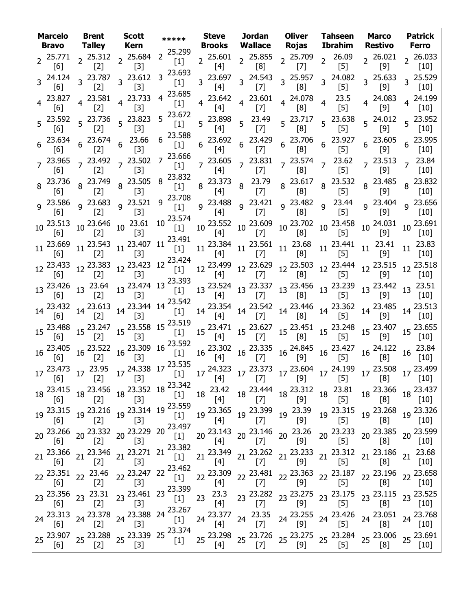|                   | <b>Bravo Talley Kern</b> | Marcelo Brent Scott                                                                                                                                                                                                                                                                                                                                                                                                                                                                                            |                                                                            |       |                                                                                                                                                                                                                                                                               |     |                                                                                                                                                                                                   | ***** Steve Jordan Oliver Tahseen Marco<br>Brooks Wallace Rojas Ibrahim Restivo Ferro                                                                                                                                                                                                                                                             | <b>Patrick</b>                                                 |
|-------------------|--------------------------|----------------------------------------------------------------------------------------------------------------------------------------------------------------------------------------------------------------------------------------------------------------------------------------------------------------------------------------------------------------------------------------------------------------------------------------------------------------------------------------------------------------|----------------------------------------------------------------------------|-------|-------------------------------------------------------------------------------------------------------------------------------------------------------------------------------------------------------------------------------------------------------------------------------|-----|---------------------------------------------------------------------------------------------------------------------------------------------------------------------------------------------------|---------------------------------------------------------------------------------------------------------------------------------------------------------------------------------------------------------------------------------------------------------------------------------------------------------------------------------------------------|----------------------------------------------------------------|
| [6]               | $\sim$ [2]               | 2 25.771 2 25.312 2 25.684<br>$\sim$ [3]                                                                                                                                                                                                                                                                                                                                                                                                                                                                       | $2^{25.299}$<br>$[1]$                                                      |       |                                                                                                                                                                                                                                                                               |     | 2 <sup>25.601</sup> 2 <sup>25.855</sup> 2 <sup>25.709</sup> 2 <sup>26.09</sup><br>[4] 2 [8] 2 [7] 2 [5]                                                                                           | [9]                                                                                                                                                                                                                                                                                                                                               | $2^{26.021}$ $2^{26.033}$<br>$[10]$                            |
| [6]               | [2]                      | $3\begin{array}{cc} 24.124 \\ 3 \end{array}$ $\begin{array}{cc} 23.787 \\ 3 \end{array}$ $\begin{array}{cc} 23.612 \\ 1 \end{array}$<br>$[3]$                                                                                                                                                                                                                                                                                                                                                                  | $3^{23.693}$<br>$[1]$                                                      |       | $3\begin{array}{@{}c@{\hspace{1em}}c@{\hspace{1em}}l} 23.697 & 3\end{array}$ 24.543<br>$[7]$                                                                                                                                                                                  | [8] | $3\begin{array}{cc} 25.957 & 3 \end{array}$ 24.082<br>[5]                                                                                                                                         | [9]                                                                                                                                                                                                                                                                                                                                               | $3\frac{25.633}{100}$ 3 25.529<br>$[10]$                       |
| $\lceil 6 \rceil$ | [2]                      | $4\begin{array}{cccc} 23.827 & 4 & 23.581 & 4 & 23.733 \end{array}$<br>$[3]$                                                                                                                                                                                                                                                                                                                                                                                                                                   | 23.685<br>$\overline{4}$<br>$[1]$                                          | $[4]$ | $4\begin{array}{cc} 23.642 \\ 4 \end{array}$ 4 23.601<br>[7]                                                                                                                                                                                                                  |     | 4 $^{24.078}$ 4 $^{23.5}$<br>[8] 4 [5]                                                                                                                                                            | [9]                                                                                                                                                                                                                                                                                                                                               | 4 24.083 4 24.199<br>$[10]$                                    |
|                   |                          | 5  23.592  5  23.736  5  23.823<br>[6]  5  [2]  5  [3]                                                                                                                                                                                                                                                                                                                                                                                                                                                         | $5^{23.672}$<br>$[1]$                                                      |       |                                                                                                                                                                                                                                                                               |     | 5 <sup>23.898</sup> 5 <sup>23.49</sup> 5 <sup>23.717</sup> 5 <sup>23.638</sup><br>[4] 5 <sup>23.49</sup> 5 <sup>23.717</sup> 5 <sup>23.638</sup>                                                  | $\left[9\right]$                                                                                                                                                                                                                                                                                                                                  | $5\begin{array}{l} 24.012 \\ 5 \end{array}$ 5 23.952<br>$[10]$ |
|                   |                          | $6\begin{array}{cc} 23.634 & 6 & 23.674 & 6 & 23.66 \\ \hline \begin{bmatrix} 6 \end{bmatrix} & 6 & \begin{bmatrix} 2 \end{bmatrix} & 6 & \begin{bmatrix} 2 \end{bmatrix} \end{array}$                                                                                                                                                                                                                                                                                                                         | $6^{23.588}$<br>$[1]$                                                      |       |                                                                                                                                                                                                                                                                               |     |                                                                                                                                                                                                   | $\begin{array}{ccccccccc} 6 & 23.692 & 6 & 23.429 & 6 & 23.706 & 6 & 23.927 & 6 & 23.605 & 6 & 23.995 \\ \hline \text{[4]} & & & & & & \text{[5]} & & 6 & \text{[9]} & & 6 & \text{[10]} \end{array}$                                                                                                                                             |                                                                |
| [6]               | $\lceil 2 \rceil$        | $7\frac{23.965}{561}$ $7\frac{23.492}{531}$ $7\frac{23.502}{531}$<br>$\lceil 3 \rceil$                                                                                                                                                                                                                                                                                                                                                                                                                         | $7 \begin{array}{c} 23.666 \\ \begin{bmatrix} 1 \end{bmatrix} \end{array}$ |       |                                                                                                                                                                                                                                                                               |     |                                                                                                                                                                                                   |                                                                                                                                                                                                                                                                                                                                                   | $7^{23.513}$ $7^{23.84}$<br>$[10]$                             |
|                   | [2]                      | 8 23.736 8 23.749 8 23.505<br>161 8 121 8 131<br>$[3]$                                                                                                                                                                                                                                                                                                                                                                                                                                                         | $\begin{array}{c} \text{8} \\ \text{8} \\ \text{1} \end{array}$            |       |                                                                                                                                                                                                                                                                               |     |                                                                                                                                                                                                   |                                                                                                                                                                                                                                                                                                                                                   |                                                                |
|                   |                          |                                                                                                                                                                                                                                                                                                                                                                                                                                                                                                                |                                                                            |       |                                                                                                                                                                                                                                                                               |     | 9 23.586 9 23.683 9 23.521 9 23.708 1.1 9 23.488 9 23.421 9 23.482 9 23.44<br>[6] 9 23.683 9 23.521 9 23.708 9 23.488 9 23.421 9 23.482 9 23.44                                                   |                                                                                                                                                                                                                                                                                                                                                   | $9^{23.404}$ 9 $23.656$                                        |
|                   |                          |                                                                                                                                                                                                                                                                                                                                                                                                                                                                                                                |                                                                            |       |                                                                                                                                                                                                                                                                               |     |                                                                                                                                                                                                   |                                                                                                                                                                                                                                                                                                                                                   |                                                                |
|                   |                          |                                                                                                                                                                                                                                                                                                                                                                                                                                                                                                                |                                                                            |       |                                                                                                                                                                                                                                                                               |     |                                                                                                                                                                                                   | $11^{23.669}$ 11 $23.543$ 11 $23.407$ 11 $23.491$ 11 $23.384$ 11 $23.561$ 11 $23.68$ 11 $23.441$ 11 $23.41$ $[6]$ 11 $[2]$ 11 $[3]$ 23.441 $[7]$ $[8]$ 11 $[5]$ 11 $[9]$                                                                                                                                                                          | $11^{23.83}$                                                   |
|                   |                          |                                                                                                                                                                                                                                                                                                                                                                                                                                                                                                                |                                                                            |       |                                                                                                                                                                                                                                                                               |     |                                                                                                                                                                                                   | $12\frac{23.433}{[6]}$ 12 $\frac{23.383}{[2]}$ 12 $\frac{23.423}{[3]}$ 12 $\frac{23.424}{[1]}$ 12 $\frac{23.499}{[4]}$ 12 $\frac{23.503}{[7]}$ 12 $\frac{23.503}{[8]}$ 12 $\frac{23.515}{[5]}$ 12 $\frac{23.515}{[9]}$ 12 $\frac{23.518}{[10]}$                                                                                                   |                                                                |
|                   |                          |                                                                                                                                                                                                                                                                                                                                                                                                                                                                                                                |                                                                            |       |                                                                                                                                                                                                                                                                               |     |                                                                                                                                                                                                   | $13\begin{bmatrix} 1 & 1 & 1 & 1 \\ 23.426 & 13 & 23.64 \\ 6 \end{bmatrix}$ $13\begin{bmatrix} 23.474 & 13 & 23.393 \\ 13 & 13 & 13 & 23.524 \\ 13 & 13 & 14 & 13 & 23.337 \\ 14 & 13 & 1 & 1 & 13 \\ 15 & 10 & 13 & 1 & 13 \\ 16 & 10 & 13 & 1 & 13 \\ 17 & 10 & 13 & 1 & 13 \\ 18 & 10 & 13 & 1 & 13 \\ 19 &$                                   |                                                                |
|                   |                          |                                                                                                                                                                                                                                                                                                                                                                                                                                                                                                                |                                                                            |       |                                                                                                                                                                                                                                                                               |     |                                                                                                                                                                                                   |                                                                                                                                                                                                                                                                                                                                                   |                                                                |
|                   |                          |                                                                                                                                                                                                                                                                                                                                                                                                                                                                                                                |                                                                            |       |                                                                                                                                                                                                                                                                               |     |                                                                                                                                                                                                   | $15\begin{bmatrix} 1 & 1 & 1 & 1 \\ 23.488 & 15 & 23.247 \\ 6 \end{bmatrix}$ 15 $\begin{bmatrix} 23.558 & 15 & 23.519 \\ 15 & 23.558 & 15 & 23.471 \\ 11 & 15 & 23.471 & 15 & 23.627 \\ 13 & 15 & 23.627 & 15 & 23.451 \\ 14 & 15 & 23.451 & 15 & 23.248 \\ 15 & 23.248 & 15 & 23.407 & 15 & 23.$                                                 |                                                                |
|                   |                          |                                                                                                                                                                                                                                                                                                                                                                                                                                                                                                                |                                                                            |       |                                                                                                                                                                                                                                                                               |     |                                                                                                                                                                                                   | $[8]$                                                                                                                                                                                                                                                                                                                                             |                                                                |
|                   |                          |                                                                                                                                                                                                                                                                                                                                                                                                                                                                                                                |                                                                            |       |                                                                                                                                                                                                                                                                               |     |                                                                                                                                                                                                   | $17\begin{array}{ccc} 141 & 141 & 141 \\ 23.473 & 17 & 23.95 \\ [6] 61 & 23.95 & 17 \end{array}$ $17\begin{array}{ccc} 23.535 & 17 & 23.535 \\ [1] 11 & 17 & 24.323 \\ [1] 13 & 17 & 23.373 \\ [1] 14 & 14 & 23.373 \\ [1] 15 & 17 & 23.604 \\ [1] 17 & 23.604 & 17 & 24.199 \\ [1] 10 & 23.342 & 17 & $                                          |                                                                |
| [6]               | $[2]$                    | $18\begin{array}{l} \begin{array}{l}\text{1--1}\\1 \text{8}\end{array} & \begin{array}{l}\text{1--1}\\1 \text{8}\end{array} & \begin{array}{l}\text{1--1}\\1 \text{8}\end{array} & \begin{array}{l}\text{1--1}\\1 \text{8}\end{array} & \begin{array}{l}\text{1--1}\\1 \text{8}\end{array} & \begin{array}{l}\text{1--1}\\1 \text{8}\end{array} & \begin{array}{l}\text{1--1}\\1 \text{8}\end{array} & \begin{array}{l}\text{1--1}\\1 \text{8}\end{array} & \begin{array}{l}\text{1--1}\\1 \text{8}\$<br>$[3]$ |                                                                            |       | $18\begin{array}{l} 23.42\\ \begin{bmatrix} 4 \end{bmatrix} \end{array} \begin{array}{l} 18 \\ \begin{bmatrix} 7 \end{bmatrix} \end{array} \begin{array}{l} 18 \\ \begin{bmatrix} 9 \end{array} \end{array} \begin{array}{l} 18 \\ \begin{bmatrix} 5 \end{array} \end{array}$ |     |                                                                                                                                                                                                   | 18 23.366 18 23.437<br>[8]                                                                                                                                                                                                                                                                                                                        | $[10]$                                                         |
|                   |                          | $19 \begin{array}{l} 23.315 \\ \begin{bmatrix} 6 \end{bmatrix} \end{array} 19 \begin{array}{l} 23.216 \\ \begin{bmatrix} 2 \end{bmatrix} \end{array} 19 \begin{array}{l} 23.314 \\ \begin{bmatrix} 3 \end{array} \end{array} 19 \begin{array}{l} 23.559 \\ \begin{bmatrix} 1 \end{array} \end{array}$                                                                                                                                                                                                          |                                                                            |       |                                                                                                                                                                                                                                                                               |     |                                                                                                                                                                                                   |                                                                                                                                                                                                                                                                                                                                                   | 19 23.326<br>$[10]$                                            |
| [6]               | $[2]$                    | $20\begin{array}{ccc} 23.266 & 20\ 23.332 & 20\ 23.729 & 20\ 23.729 & 20\ \end{array}$<br>$[3]$                                                                                                                                                                                                                                                                                                                                                                                                                |                                                                            |       |                                                                                                                                                                                                                                                                               |     |                                                                                                                                                                                                   |                                                                                                                                                                                                                                                                                                                                                   | 20 23.599<br>$[10]$                                            |
| [6]               | $[2]$                    | 21 23.366 21 23.346 21 23.271 21 23.382<br>$[3]$                                                                                                                                                                                                                                                                                                                                                                                                                                                               |                                                                            |       |                                                                                                                                                                                                                                                                               |     |                                                                                                                                                                                                   | $21\begin{array}{l} 23.349\\ \text{[4]} \end{array} \quad 21\begin{array}{l} 23.262\\ \text{[7]} \end{array} \quad 21\begin{array}{l} 23.233\\ \text{[9]} \end{array} \quad 21\begin{array}{l} 23.312\\ \text{[5]} \end{array} \quad 21\begin{array}{l} 23.186\\ \text{[8]} \end{array} \quad 21\begin{array}{l} 23.68\\ \text{[10]} \end{array}$ |                                                                |
| 22 23.351<br>[6]  | 22 <sup>23.46</sup>      |                                                                                                                                                                                                                                                                                                                                                                                                                                                                                                                | 22 <sup>23.247</sup> 22 <sup>23.462</sup><br>[1]                           |       |                                                                                                                                                                                                                                                                               |     |                                                                                                                                                                                                   |                                                                                                                                                                                                                                                                                                                                                   | 22 23.658<br>$[10]$                                            |
|                   |                          |                                                                                                                                                                                                                                                                                                                                                                                                                                                                                                                |                                                                            |       |                                                                                                                                                                                                                                                                               |     |                                                                                                                                                                                                   | $23\frac{23.356}{[6]}$ 23 $\frac{23.31}{[2]}$ 23 $\frac{23.461}{[3]}$ 23 $\frac{23.399}{[4]}$ 23 $\frac{23.33}{[7]}$ 23 $\frac{23.282}{[7]}$ 23 $\frac{23.275}{[9]}$ 23 $\frac{23.175}{[5]}$ 23 $\frac{23.115}{[8]}$ 23 $\frac{23.525}{[10]}$                                                                                                     |                                                                |
|                   |                          | $24 \begin{array}{l} 23.313 \\ [6] \end{array}$ 24 $\begin{array}{l} 23.378 \\ [2] \end{array}$ 24 $\begin{array}{l} 23.388 \\ [3] \end{array}$ 24 $\begin{array}{l} 23.267 \\ [1] \end{array}$                                                                                                                                                                                                                                                                                                                |                                                                            |       |                                                                                                                                                                                                                                                                               |     | 24 <sup>23.377</sup> 24 <sup>23.35</sup> 24 <sup>23.255</sup> 24 <sup>23.426</sup> 24 <sup>23.051</sup><br>[4] 24 <sup>2</sup> [7] 24 <sup>23.255</sup> 24 <sup>23.426</sup> 24 <sup>23.051</sup> |                                                                                                                                                                                                                                                                                                                                                   | 24 23.768<br>$[10]$                                            |
| [6]               | $[2]$                    | 25 23.907 25 23.288 25 23.339 25 23.374<br>$[3]$                                                                                                                                                                                                                                                                                                                                                                                                                                                               |                                                                            |       |                                                                                                                                                                                                                                                                               |     |                                                                                                                                                                                                   |                                                                                                                                                                                                                                                                                                                                                   | $[10]$                                                         |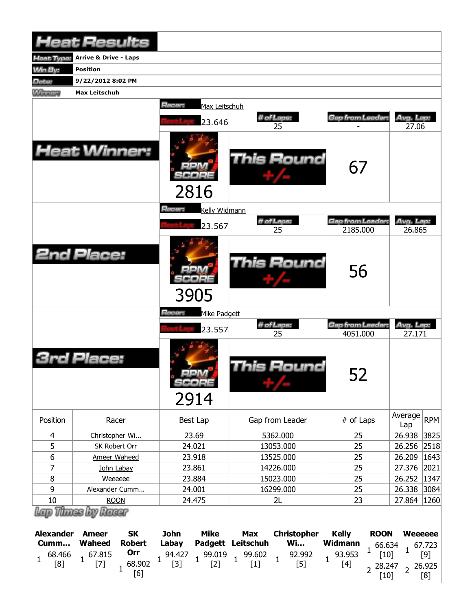|                                    | <b>Heat Results</b>                                                                                  |                                                                    |                                                                                |                                                                           |                                        |
|------------------------------------|------------------------------------------------------------------------------------------------------|--------------------------------------------------------------------|--------------------------------------------------------------------------------|---------------------------------------------------------------------------|----------------------------------------|
| <b>Heat Type:</b>                  | <b>Arrive &amp; Drive - Laps</b>                                                                     |                                                                    |                                                                                |                                                                           |                                        |
| <b>Win By:</b>                     | <b>Position</b>                                                                                      |                                                                    |                                                                                |                                                                           |                                        |
| Date:                              | 9/22/2012 8:02 PM                                                                                    |                                                                    |                                                                                |                                                                           |                                        |
| <b>WARRENT</b>                     | <b>Max Leitschuh</b>                                                                                 |                                                                    |                                                                                |                                                                           |                                        |
|                                    |                                                                                                      | Racer:<br>Max Leitschuh                                            |                                                                                |                                                                           |                                        |
|                                    |                                                                                                      |                                                                    | # of Laps:                                                                     | Gap from Leader:                                                          | Avg. Lap:                              |
|                                    |                                                                                                      | 23.646                                                             | 25                                                                             |                                                                           | 27.06                                  |
|                                    | <b>Heat Winner:</b>                                                                                  | 2816                                                               | This Round                                                                     | 67                                                                        |                                        |
|                                    |                                                                                                      | Racer:<br>Kelly Widmann                                            |                                                                                |                                                                           |                                        |
|                                    |                                                                                                      | 23.567                                                             | # of Laps:                                                                     | Gap from Leader.                                                          | Avg. Lap:                              |
|                                    |                                                                                                      |                                                                    | 25                                                                             | 2185.000                                                                  | 26.865                                 |
|                                    | <b>2nd Place:</b>                                                                                    | 3905                                                               | This Round                                                                     | 56                                                                        |                                        |
|                                    |                                                                                                      | Racer:<br>Mike Padgett                                             |                                                                                |                                                                           |                                        |
|                                    |                                                                                                      | 23.557                                                             | # of Laps:<br>25                                                               | Gap from Leader.<br>4051.000                                              | Avg. Lap:<br>27.171                    |
|                                    | rd Place:                                                                                            | $-1.021A$<br>SCORE<br>2914                                         | This Round                                                                     |                                                                           |                                        |
| Position                           | Racer                                                                                                | Best Lap                                                           | Gap from Leader                                                                | # of Laps                                                                 | Average<br><b>RPM</b><br>Lap           |
| $\overline{4}$                     | Christopher Wi                                                                                       | 23.69                                                              | 5362.000                                                                       | 25                                                                        | 3825<br>26.938                         |
| 5                                  | SK Robert Orr                                                                                        | 24.021                                                             | 13053.000                                                                      | 25                                                                        | 26.256<br>2518                         |
| 6                                  | Ameer Waheed                                                                                         | 23.918                                                             | 13525.000                                                                      |                                                                           | 26.209<br> 1643                        |
| 7                                  | John Labay                                                                                           | 23.861<br>14226.000                                                |                                                                                | 25                                                                        | 2021<br>27.376                         |
| 8                                  | Weeeeee                                                                                              | 23.884<br>15023.000                                                |                                                                                | 25                                                                        | 26.252<br>1347                         |
| 9                                  | Alexander Cumm                                                                                       | 24.001                                                             | 16299.000                                                                      | 25                                                                        | 26.338<br>3084                         |
| 10                                 | <b>ROON</b>                                                                                          | 24.475                                                             | 2L                                                                             | 23                                                                        | 27.864<br>1260                         |
| <b>Alexander</b><br>Cumm<br>68.466 | Racer<br>Vitraes Any<br><b>SK</b><br><b>Ameer</b><br><b>Waheed</b><br><b>Robert</b><br>Orr<br>67.815 | <b>Mike</b><br><b>John</b><br>Labay<br>Padgett<br>94.427<br>99.019 | <b>Christopher</b><br><b>Max</b><br>Leitschuh<br><b>Wi</b><br>92.992<br>99.602 | <b>Kelly</b><br><b>ROON</b><br>Widmann<br>66.634<br>1<br>93.953<br>$[10]$ | <b>Weeeeee</b><br>67.723<br>1<br>$[9]$ |

[8]

[7]

 $1\frac{68.902}{55}$ [6]

[3]

[2]

[1]

[5]

[4]

 $2\frac{28.247}{5101}$ [10]

2<sup>26.925</sup> [8]